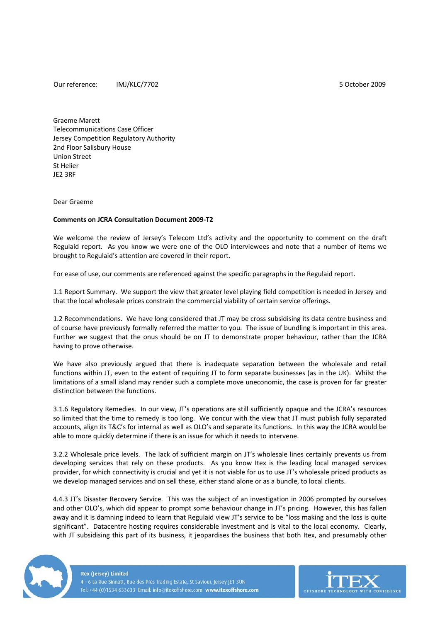Our reference: IMJ/KLC/7702 5 October 2009

Graeme Marett Telecommunications Case Officer Jersey Competition Regulatory Authority 2nd Floor Salisbury House Union Street St Helier JE2 3RF

Dear Graeme

## **Comments on JCRA Consultation Document 2009‐T2**

We welcome the review of Jersey's Telecom Ltd's activity and the opportunity to comment on the draft Regulaid report. As you know we were one of the OLO interviewees and note that a number of items we brought to Regulaid's attention are covered in their report.

For ease of use, our comments are referenced against the specific paragraphs in the Regulaid report.

1.1 Report Summary. We support the view that greater level playing field competition is needed in Jersey and that the local wholesale prices constrain the commercial viability of certain service offerings.

1.2 Recommendations. We have long considered that JT may be cross subsidising its data centre business and of course have previously formally referred the matter to you. The issue of bundling is important in this area. Further we suggest that the onus should be on JT to demonstrate proper behaviour, rather than the JCRA having to prove otherwise.

We have also previously argued that there is inadequate separation between the wholesale and retail functions within JT, even to the extent of requiring JT to form separate businesses (as in the UK). Whilst the limitations of a small island may render such a complete move uneconomic, the case is proven for far greater distinction between the functions.

3.1.6 Regulatory Remedies. In our view, JT's operations are still sufficiently opaque and the JCRA's resources so limited that the time to remedy is too long. We concur with the view that JT must publish fully separated accounts, align its T&C's for internal as well as OLO's and separate its functions. In this way the JCRA would be able to more quickly determine if there is an issue for which it needs to intervene.

3.2.2 Wholesale price levels. The lack of sufficient margin on JT's wholesale lines certainly prevents us from developing services that rely on these products. As you know Itex is the leading local managed services provider, for which connectivity is crucial and yet it is not viable for us to use JT's wholesale priced products as we develop managed services and on sell these, either stand alone or as a bundle, to local clients.

4.4.3 JT's Disaster Recovery Service. This was the subject of an investigation in 2006 prompted by ourselves and other OLO's, which did appear to prompt some behaviour change in JT's pricing. However, this has fallen away and it is damning indeed to learn that Regulaid view JT's service to be "loss making and the loss is quite significant". Datacentre hosting requires considerable investment and is vital to the local economy. Clearly, with JT subsidising this part of its business, it jeopardises the business that both Itex, and presumably other



**Itex (Jersey) Limited** 4 - 6 La Rue Sinnatt, Rue des Prés Trading Estate, St Saviour, Jersey JE1 3UN Tel: +44 (0)1534 633633 Email: info@itexoffshore.com www.itexoffshore.com